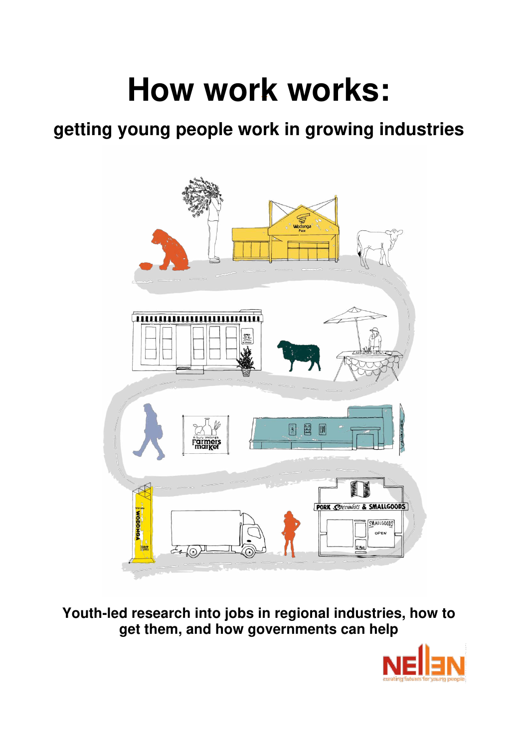# **-- How work works:**

## **getting young people work in growing industries**



**Youth-led research into jobs in regional industries, how to get them, and how governments can help** 

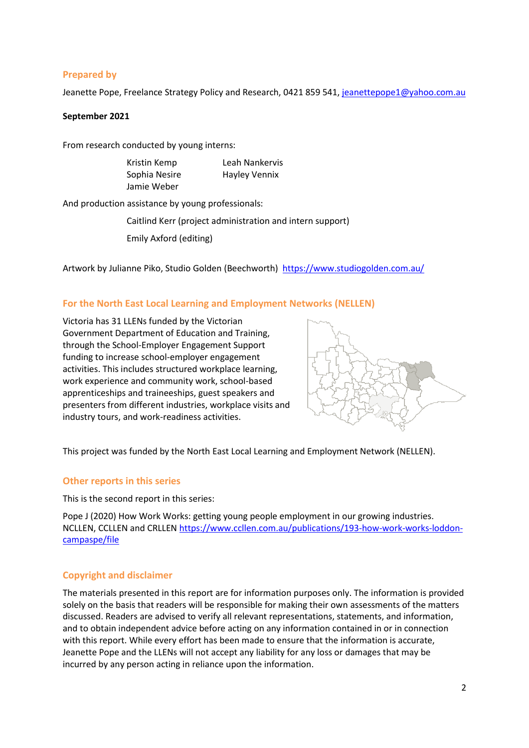#### **Prepared by**

Jeanette Pope, Freelance Strategy Policy and Research, 0421 859 541, [jeanettepope1@yahoo.com.au](mailto:jeanettepope1@yahoo.com.au)

#### **September 2021**

From research conducted by young interns:

| Kristin Kemp  | Leah Nankervis       |
|---------------|----------------------|
| Sophia Nesire | <b>Hayley Vennix</b> |
| Jamie Weber   |                      |

And production assistance by young professionals:

Caitlind Kerr (project administration and intern support)

Emily Axford (editing)

Artwork by Julianne Piko, Studio Golden (Beechworth) <https://www.studiogolden.com.au/>

#### **For the North East Local Learning and Employment Networks (NELLEN)**

Victoria has 31 LLENs funded by the Victorian Government Department of Education and Training, through the School-Employer Engagement Support funding to increase school-employer engagement activities. This includes structured workplace learning, work experience and community work, school-based apprenticeships and traineeships, guest speakers and presenters from different industries, workplace visits and industry tours, and work-readiness activities.



This project was funded by the North East Local Learning and Employment Network (NELLEN).

#### **Other reports in this series**

This is the second report in this series:

Pope J (2020) How Work Works: getting young people employment in our growing industries. NCLLEN, CCLLEN and CRLLEN [https://www.ccllen.com.au/publications/193-how-work-works-loddon](https://www.ccllen.com.au/publications/193-how-work-works-loddon-campaspe/file)[campaspe/file](https://www.ccllen.com.au/publications/193-how-work-works-loddon-campaspe/file) 

#### **Copyright and disclaimer**

The materials presented in this report are for information purposes only. The information is provided solely on the basis that readers will be responsible for making their own assessments of the matters discussed. Readers are advised to verify all relevant representations, statements, and information, and to obtain independent advice before acting on any information contained in or in connection with this report. While every effort has been made to ensure that the information is accurate, Jeanette Pope and the LLENs will not accept any liability for any loss or damages that may be incurred by any person acting in reliance upon the information.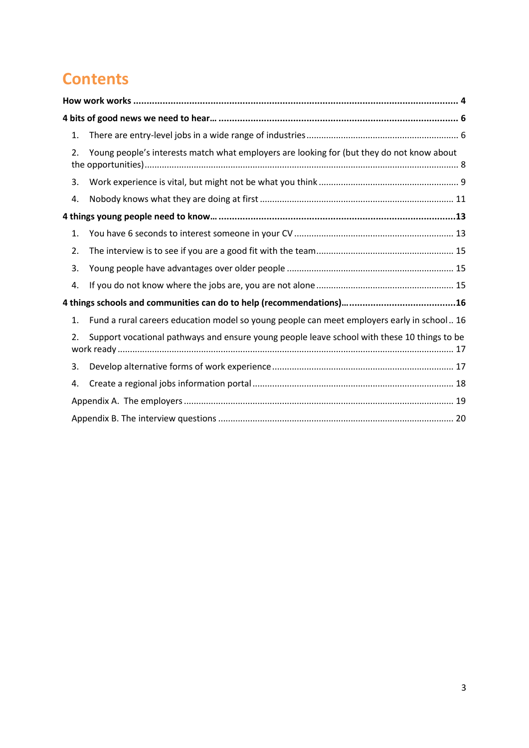## **Contents**

| 1. |                                                                                             |
|----|---------------------------------------------------------------------------------------------|
| 2. | Young people's interests match what employers are looking for (but they do not know about   |
| 3. |                                                                                             |
| 4. |                                                                                             |
|    |                                                                                             |
| 1. |                                                                                             |
| 2. |                                                                                             |
| 3. |                                                                                             |
| 4. |                                                                                             |
|    |                                                                                             |
| 1. | Fund a rural careers education model so young people can meet employers early in school 16  |
| 2. | Support vocational pathways and ensure young people leave school with these 10 things to be |
| 3. |                                                                                             |
| 4. |                                                                                             |
|    |                                                                                             |
|    |                                                                                             |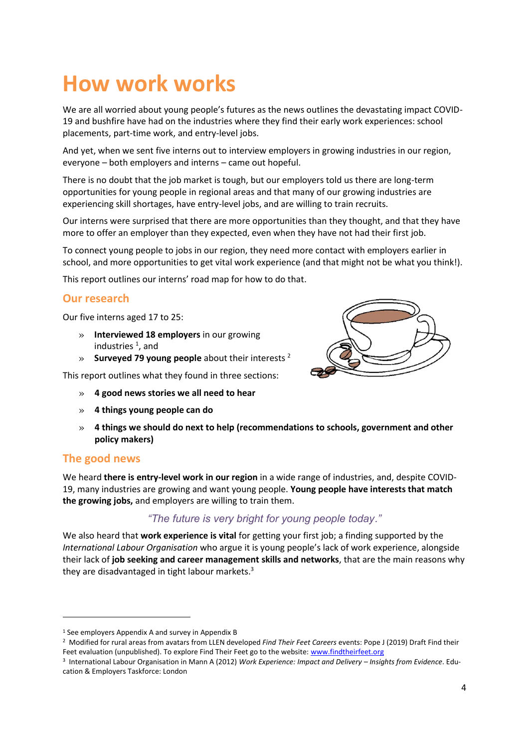## <span id="page-3-0"></span>**How work works**

We are all worried about young people's futures as the news outlines the devastating impact COVID-19 and bushfire have had on the industries where they find their early work experiences: school placements, part-time work, and entry-level jobs.

And yet, when we sent five interns out to interview employers in growing industries in our region, everyone – both employers and interns – came out hopeful.

There is no doubt that the job market is tough, but our employers told us there are long-term opportunities for young people in regional areas and that many of our growing industries are experiencing skill shortages, have entry-level jobs, and are willing to train recruits.

Our interns were surprised that there are more opportunities than they thought, and that they have more to offer an employer than they expected, even when they have not had their first job.

To connect young people to jobs in our region, they need more contact with employers earlier in school, and more opportunities to get vital work experience (and that might not be what you think!).

This report outlines our interns' road map for how to do that.

### **Our research**

Our five interns aged 17 to 25:

- » **Interviewed 18 employers** in our growing industries <sup>1</sup>, and
- » **Surveyed 79 young people** about their interests <sup>2</sup>

This report outlines what they found in three sections:

- » **4 good news stories we all need to hear**
- » **4 things young people can do**



#### **The good news**

We heard **there is entry-level work in our region** in a wide range of industries, and, despite COVID-19, many industries are growing and want young people. **Young people have interests that match the growing jobs,** and employers are willing to train them.

### *"The future is very bright for young people today."*

We also heard that **work experience is vital** for getting your first job; a finding supported by the *International Labour Organisation* who argue it is young people's lack of work experience, alongside their lack of **job seeking and career management skills and networks**, that are the main reasons why they are disadvantaged in tight labour markets.<sup>3</sup>



<sup>&</sup>lt;sup>1</sup> See employers Appendix A and survey in Appendix B

<sup>2</sup> Modified for rural areas from avatars from LLEN developed *Find Their Feet Careers* events: Pope J (2019) Draft Find their Feet evaluation (unpublished). To explore Find Their Feet go to the website: www.findtheirfeet.org

<sup>3</sup> International Labour Organisation in Mann A (2012) *Work Experience: Impact and Delivery – Insights from Evidence*. Education & Employers Taskforce: London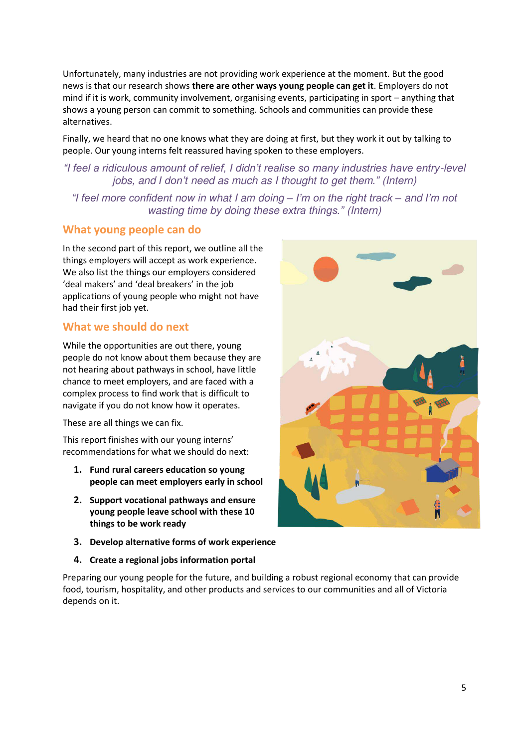Unfortunately, many industries are not providing work experience at the moment. But the good news is that our research shows **there are other ways young people can get it**. Employers do not mind if it is work, community involvement, organising events, participating in sport – anything that shows a young person can commit to something. Schools and communities can provide these alternatives.

Finally, we heard that no one knows what they are doing at first, but they work it out by talking to people. Our young interns felt reassured having spoken to these employers.

### *"I feel a ridiculous amount of relief, I didn't realise so many industries have entry-level jobs, and I don't need as much as I thought to get them." (Intern)*

*"I feel more confident now in what I am doing – I'm on the right track – and I'm not wasting time by doing these extra things." (Intern)* 

### **What young people can do**

In the second part of this report, we outline all the things employers will accept as work experience. We also list the things our employers considered 'deal makers' and 'deal breakers' in the job applications of young people who might not have had their first job yet.

### **What we should do next**

While the opportunities are out there, young people do not know about them because they are not hearing about pathways in school, have little chance to meet employers, and are faced with a complex process to find work that is difficult to navigate if you do not know how it operates.

These are all things we can fix.

This report finishes with our young interns' recommendations for what we should do next:

- **1. Fund rural careers education so young people can meet employers early in school**
- **2. Support vocational pathways and ensure young people leave school with these 10 things to be work ready**
- **3. Develop alternative forms of work experience**
- **4. Create a regional jobs information portal**



Preparing our young people for the future, and building a robust regional economy that can provide food, tourism, hospitality, and other products and services to our communities and all of Victoria depends on it.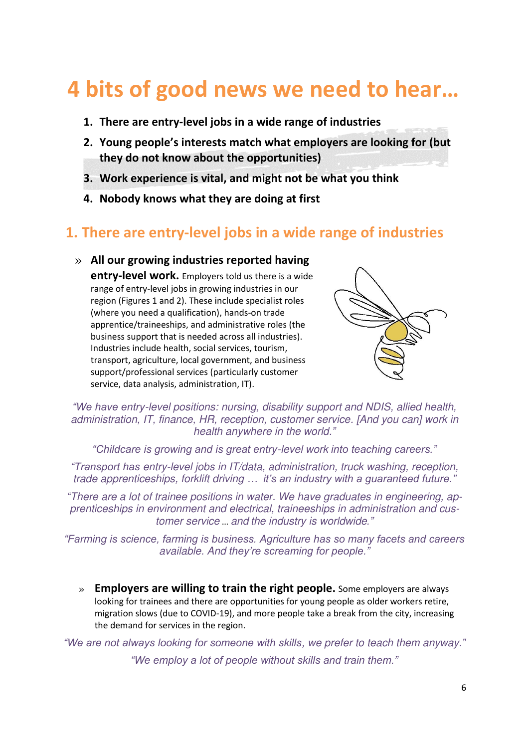## <span id="page-5-0"></span>**4 bits of good news we need to hear…**

- **1. There are entry-level jobs in a wide range of industries**
- **2. Young people's interests match what employers are looking for (but they do not know about the opportunities)**
- **3. Work experience is vital, and might not be what you think**
- **4. Nobody knows what they are doing at first**

## <span id="page-5-1"></span>**1. There are entry-level jobs in a wide range of industries**

» **All our growing industries reported having entry-level work.** Employers told us there is a wide range of entry-level jobs in growing industries in our region (Figures 1 and 2). These include specialist roles (where you need a qualification), hands-on trade apprentice/traineeships, and administrative roles (the business support that is needed across all industries). Industries include health, social services, tourism, transport, agriculture, local government, and business support/professional services (particularly customer service, data analysis, administration, IT).



*"We have entry-level positions: nursing, disability support and NDIS, allied health, administration, IT, finance, HR, reception, customer service. [And you can] work in health anywhere in the world."*

*"Childcare is growing and is great entry-level work into teaching careers."*

*"Transport has entry-level jobs in IT/data, administration, truck washing, reception, trade apprenticeships, forklift driving … it's an industry with a guaranteed future."*

*"There are a lot of trainee positions in water. We have graduates in engineering, apprenticeships in environment and electrical, traineeships in administration and customer service* … *and the industry is worldwide."*

*"Farming is science, farming is business. Agriculture has so many facets and careers available. And they're screaming for people."*

» **Employers are willing to train the right people.** Some employers are always looking for trainees and there are opportunities for young people as older workers retire, migration slows (due to COVID-19), and more people take a break from the city, increasing the demand for services in the region.

*"We are not always looking for someone with skills, we prefer to teach them anyway." "We employ a lot of people without skills and train them."*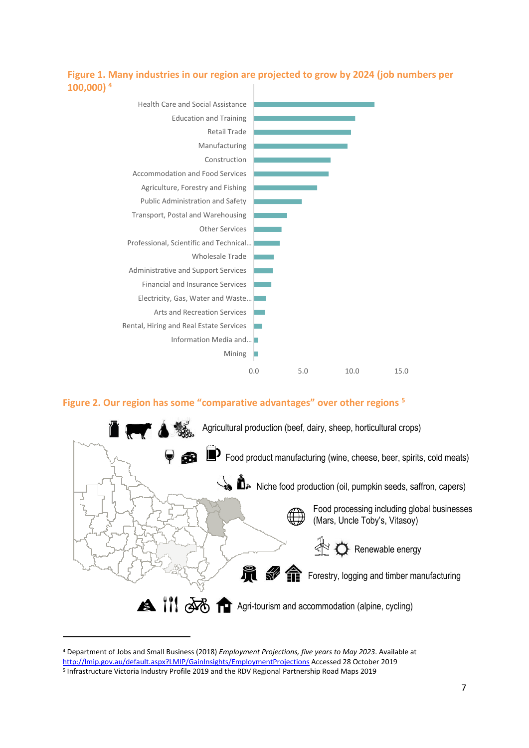#### **Figure 1. Many industries in our region are projected to grow by 2024 (job numbers per 100,000) <sup>4</sup>**



#### **Figure 2. Our region has some "comparative advantages" over other regions <sup>5</sup>**



<sup>4</sup> Department of Jobs and Small Business (2018) *Employment Projections, five years to May 2023*. Available at [http://lmip.gov.au/default.aspx?LMIP/GainInsights/EmploymentProjections A](http://lmip.gov.au/default.aspx?LMIP/GainInsights/EmploymentProjections)ccessed 28 October 2019

<sup>&</sup>lt;sup>5</sup> Infrastructure Victoria Industry Profile 2019 and the RDV Regional Partnership Road Maps 2019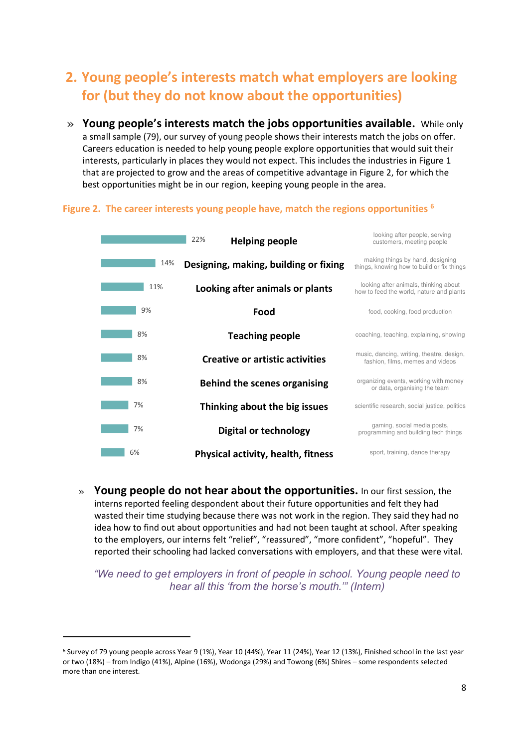## <span id="page-7-0"></span>**2. Young people's interests match what employers are looking for (but they do not know about the opportunities)**

» **Young people's interests match the jobs opportunities available.** While only a small sample (79), our survey of young people shows their interests match the jobs on offer. Careers education is needed to help young people explore opportunities that would suit their interests, particularly in places they would not expect. This includes the industries in Figure 1 that are projected to grow and the areas of competitive advantage in Figure 2, for which the best opportunities might be in our region, keeping young people in the area.

#### **Figure 2. The career interests young people have, match the regions opportunities <sup>6</sup>**



» **Young people do not hear about the opportunities.** In our first session, the interns reported feeling despondent about their future opportunities and felt they had wasted their time studying because there was not work in the region. They said they had no idea how to find out about opportunities and had not been taught at school. After speaking to the employers, our interns felt "relief", "reassured", "more confident", "hopeful". They reported their schooling had lacked conversations with employers, and that these were vital.

*"We need to get employers in front of people in school. Young people need to hear all this 'from the horse's mouth.'" (Intern)*

<sup>&</sup>lt;sup>6</sup> Survey of 79 young people across Year 9 (1%), Year 10 (44%), Year 11 (24%), Year 12 (13%), Finished school in the last year or two (18%) – from Indigo (41%), Alpine (16%), Wodonga (29%) and Towong (6%) Shires – some respondents selected more than one interest.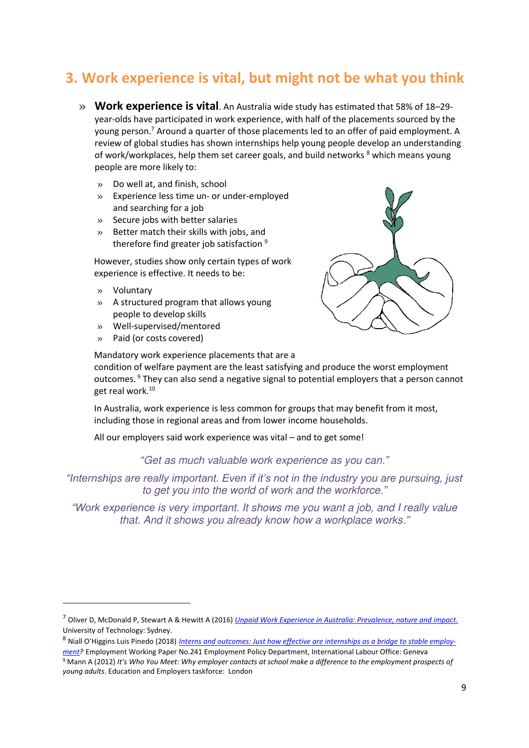## <span id="page-8-0"></span>**3. Work experience is vital, but might not be what you think**

- » **Work experience is vital**. An Australia wide study has estimated that 58% of 18–29 year-olds have participated in work experience, with half of the placements sourced by the young person.<sup>7</sup> Around a quarter of those placements led to an offer of paid employment. A review of global studies has shown internships help young people develop an understanding of work/workplaces, help them set career goals, and build networks <sup>8</sup> which means young people are more likely to:
	- » Do well at, and finish, school
	- » Experience less time un- or under-employed and searching for a job
	- » Secure jobs with better salaries
	- » Better match their skills with jobs, and therefore find greater job satisfaction<sup>9</sup>

However, studies show only certain types of work experience is effective. It needs to be:

- » Voluntary
- » A structured program that allows young people to develop skills
- » Well-supervised/mentored
- » Paid (or costs covered)

Mandatory work experience placements that are a

condition of welfare payment are the least satisfying and produce the worst employment outcomes.<sup>9</sup> They can also send a negative signal to potential employers that a person cannot get real work.<sup>10</sup>

In Australia, work experience is less common for groups that may benefit from it most, including those in regional areas and from lower income households.

All our employers said work experience was vital – and to get some!

*"Get as much valuable work experience as you can."*

*"Internships are really important. Even if it's not in the industry you are pursuing, just to get you into the world of work and the workforce."*

*"Work experience is very important. It shows me you want a job, and I really value that. And it shows you already know how a workplace works."*

<sup>7</sup> Oliver D, McDonald P, Stewart A & Hewitt A (2016) *[Unpaid Work Experience in Australia: Prevalence, nature and impact.](https://apo.org.au/sites/default/files/resource-files/2016-12/apo-nid72101.pdf)* University of Technology: Sydney.

<sup>8</sup> Niall O'Higgins Luis Pinedo (2018) *[Interns and outcomes: Just how effective are internships as a bridge to stable employ](https://www.ilo.org/wcmsp5/groups/public/---ed_emp/documents/publication/wcms_637362.pdf)[ment?](https://www.ilo.org/wcmsp5/groups/public/---ed_emp/documents/publication/wcms_637362.pdf)* Employment Working Paper No.241 Employment Policy Department, International Labour Office: Geneva

<sup>9</sup> Mann A (2012) *It's Who You Meet: Why employer contacts at school make a difference to the employment prospects of young adults*. Education and Employers taskforce: London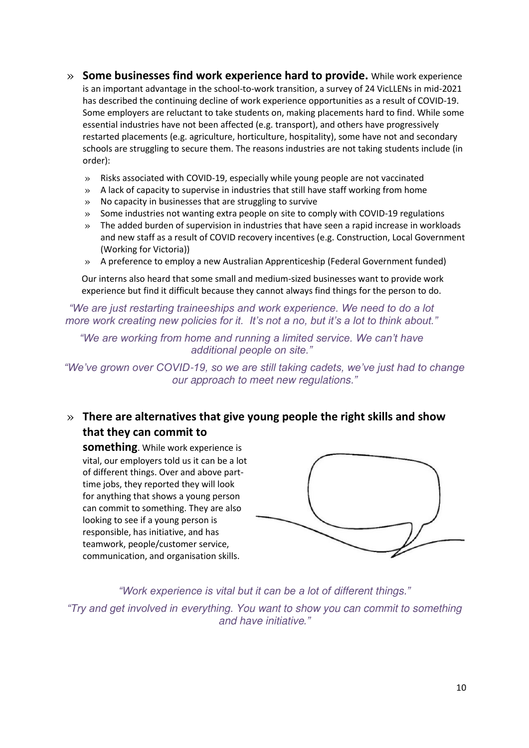- » **Some businesses find work experience hard to provide.** While work experience is an important advantage in the school-to-work transition, a survey of 24 VicLLENs in mid-2021 has described the continuing decline of work experience opportunities as a result of COVID-19. Some employers are reluctant to take students on, making placements hard to find. While some essential industries have not been affected (e.g. transport), and others have progressively restarted placements (e.g. agriculture, horticulture, hospitality), some have not and secondary schools are struggling to secure them. The reasons industries are not taking students include (in order):
	- » Risks associated with COVID-19, especially while young people are not vaccinated
	- $\gg$  A lack of capacity to supervise in industries that still have staff working from home
	- » No capacity in businesses that are struggling to survive
	- » Some industries not wanting extra people on site to comply with COVID-19 regulations
	- » The added burden of supervision in industries that have seen a rapid increase in workloads and new staff as a result of COVID recovery incentives (e.g. Construction, Local Government (Working for Victoria))
	- » A preference to employ a new Australian Apprenticeship (Federal Government funded)

Our interns also heard that some small and medium-sized businesses want to provide work experience but find it difficult because they cannot always find things for the person to do.

*"We are just restarting traineeships and work experience. We need to do a lot more work creating new policies for it. It's not a no, but it's a lot to think about."*

*"We are working from home and running a limited service. We can't have additional people on site."*

*"We've grown over COVID-19, so we are still taking cadets, we've just had to change our approach to meet new regulations."*

### » **There are alternatives that give young people the right skills and show that they can commit to**

**something**. While work experience is vital, our employers told us it can be a lot of different things. Over and above parttime jobs, they reported they will look for anything that shows a young person can commit to something. They are also looking to see if a young person is responsible, has initiative, and has teamwork, people/customer service, communication, and organisation skills.



*"Work experience is vital but it can be a lot of different things."*

*"Try and get involved in everything. You want to show you can commit to something and have initiative."*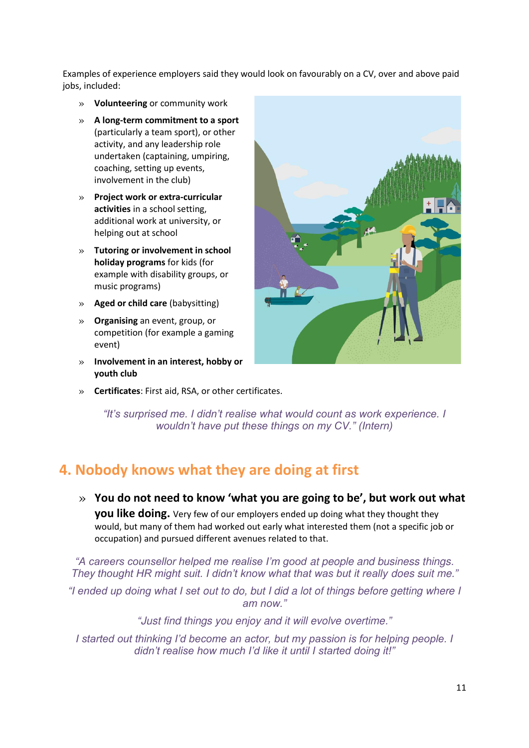Examples of experience employers said they would look on favourably on a CV, over and above paid jobs, included:

- » **Volunteering** or community work
- » **A long-term commitment to a sport** (particularly a team sport), or other activity, and any leadership role undertaken (captaining, umpiring, coaching, setting up events, involvement in the club)
- » **Project work or extra-curricular activities** in a school setting, additional work at university, or helping out at school
- » **Tutoring or involvement in school holiday programs** for kids (for example with disability groups, or music programs)
- » **Aged or child care** (babysitting)
- » **Organising** an event, group, or competition (for example a gaming event)
- » **Involvement in an interest, hobby or youth club**



» **Certificates**: First aid, RSA, or other certificates.

*"It's surprised me. I didn't realise what would count as work experience. I wouldn't have put these things on my CV." (Intern)*

## <span id="page-10-0"></span>**4. Nobody knows what they are doing at first**

» **You do not need to know 'what you are going to be', but work out what you like doing.** Very few of our employers ended up doing what they thought they would, but many of them had worked out early what interested them (not a specific job or occupation) and pursued different avenues related to that.

*"A careers counsellor helped me realise I'm good at people and business things. They thought HR might suit. I didn't know what that was but it really does suit me."*

*"I ended up doing what I set out to do, but I did a lot of things before getting where I am now."*

*"Just find things you enjoy and it will evolve overtime."*

*I started out thinking I'd become an actor, but my passion is for helping people. I didn't realise how much I'd like it until I started doing it!"*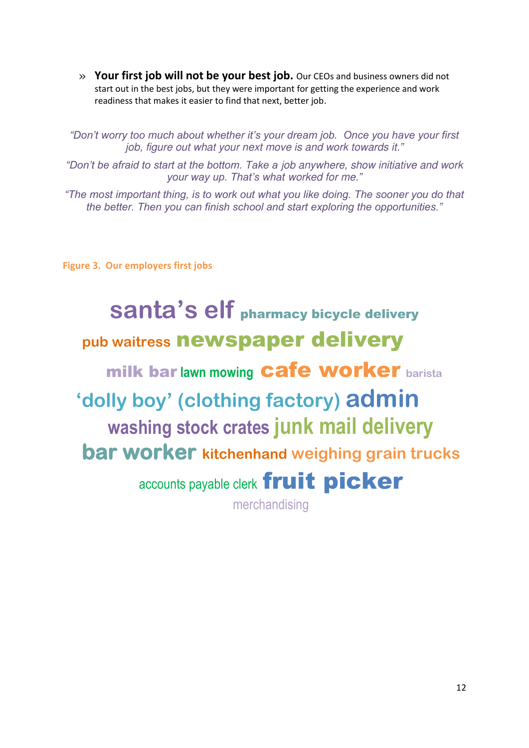» **Your first job will not be your best job.** Our CEOs and business owners did not start out in the best jobs, but they were important for getting the experience and work readiness that makes it easier to find that next, better job.

*"Don't worry too much about whether it's your dream job. Once you have your first job, figure out what your next move is and work towards it."*

*"Don't be afraid to start at the bottom. Take a job anywhere, show initiative and work your way up. That's what worked for me."*

*"The most important thing, is to work out what you like doing. The sooner you do that the better. Then you can finish school and start exploring the opportunities."*

**Figure 3. Our employers first jobs** 

## **santa's elf** pharmacy bicycle delivery **pub waitress** newspaper delivery milk bar **lawn mowing** cafe worker **barista 'dolly boy' (clothing factory) admin washing stock crates junk mail delivery bar worker kitchenhand weighing grain trucks**  accounts payable clerk fruit picker merchandising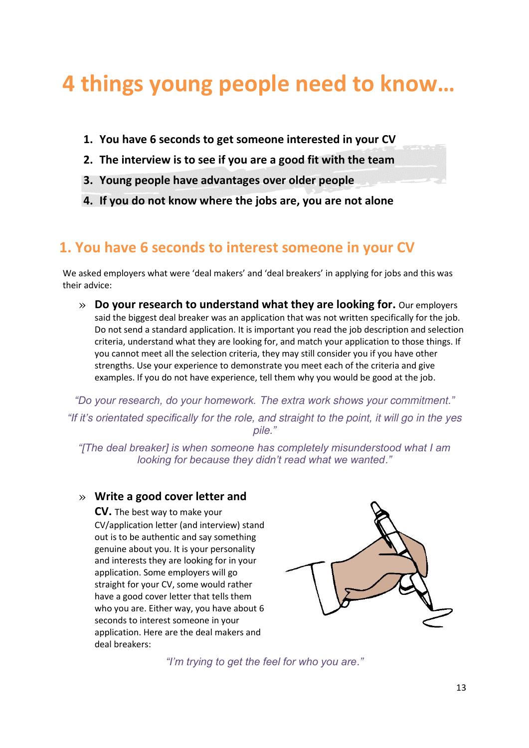## <span id="page-12-0"></span>**4 things young people need to know…**

- **1. You have 6 seconds to get someone interested in your CV**
- **2. The interview is to see if you are a good fit with the team**
- **3. Young people have advantages over older people**
- **4. If you do not know where the jobs are, you are not alone**

## <span id="page-12-1"></span>**1. You have 6 seconds to interest someone in your CV**

We asked employers what were 'deal makers' and 'deal breakers' in applying for jobs and this was their advice:

» **Do your research to understand what they are looking for.** Our employers said the biggest deal breaker was an application that was not written specifically for the job. Do not send a standard application. It is important you read the job description and selection criteria, understand what they are looking for, and match your application to those things. If you cannot meet all the selection criteria, they may still consider you if you have other strengths. Use your experience to demonstrate you meet each of the criteria and give examples. If you do not have experience, tell them why you would be good at the job.

*"Do your research, do your homework. The extra work shows your commitment." "If it's orientated specifically for the role, and straight to the point, it will go in the yes pile."*

*"[The deal breaker] is when someone has completely misunderstood what I am looking for because they didn't read what we wanted."* 

### » **Write a good cover letter and**

**CV.** The best way to make your CV/application letter (and interview) stand out is to be authentic and say something genuine about you. It is your personality and interests they are looking for in your application. Some employers will go straight for your CV, some would rather have a good cover letter that tells them who you are. Either way, you have about 6 seconds to interest someone in your application. Here are the deal makers and deal breakers:



*"I'm trying to get the feel for who you are."*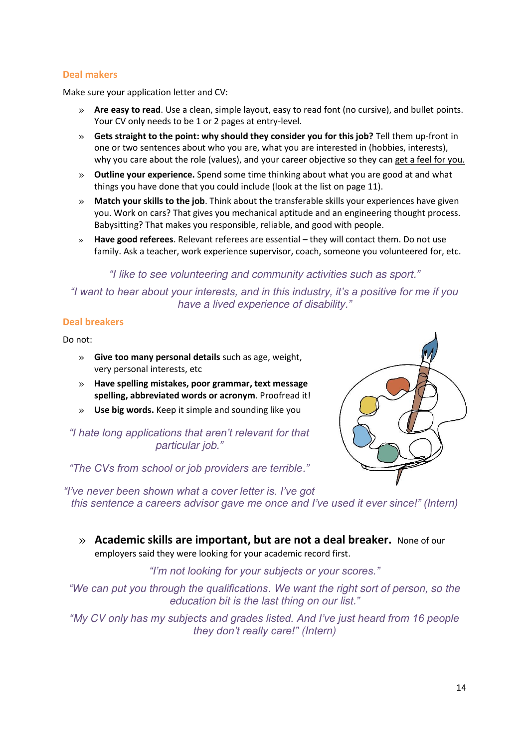#### **Deal makers**

Make sure your application letter and CV:

- » **Are easy to read**. Use a clean, simple layout, easy to read font (no cursive), and bullet points. Your CV only needs to be 1 or 2 pages at entry-level.
- » **Gets straight to the point: why should they consider you for this job?** Tell them up-front in one or two sentences about who you are, what you are interested in (hobbies, interests), why you care about the role (values), and your career objective so they can get a feel for you.
- » **Outline your experience.** Spend some time thinking about what you are good at and what things you have done that you could include (look at the list on page 11).
- » **Match your skills to the job**. Think about the transferable skills your experiences have given you. Work on cars? That gives you mechanical aptitude and an engineering thought process. Babysitting? That makes you responsible, reliable, and good with people.
- » **Have good referees**. Relevant referees are essential they will contact them. Do not use family. Ask a teacher, work experience supervisor, coach, someone you volunteered for, etc.

#### *"I like to see volunteering and community activities such as sport."*

*"I want to hear about your interests, and in this industry, it's a positive for me if you have a lived experience of disability."*

#### **Deal breakers**

Do not:

- » **Give too many personal details** such as age, weight, very personal interests, etc
- » **Have spelling mistakes, poor grammar, text message spelling, abbreviated words or acronym**. Proofread it!
- » **Use big words.** Keep it simple and sounding like you

*"I hate long applications that aren't relevant for that particular job."* 

*"The CVs from school or job providers are terrible."*



*"I've never been shown what a cover letter is. I've got this sentence a careers advisor gave me once and I've used it ever since!" (Intern)*

» **Academic skills are important, but are not a deal breaker.** None of our employers said they were looking for your academic record first.

*"I'm not looking for your subjects or your scores."*

*"We can put you through the qualifications. We want the right sort of person, so the education bit is the last thing on our list."*

*"My CV only has my subjects and grades listed. And I've just heard from 16 people they don't really care!" (Intern)*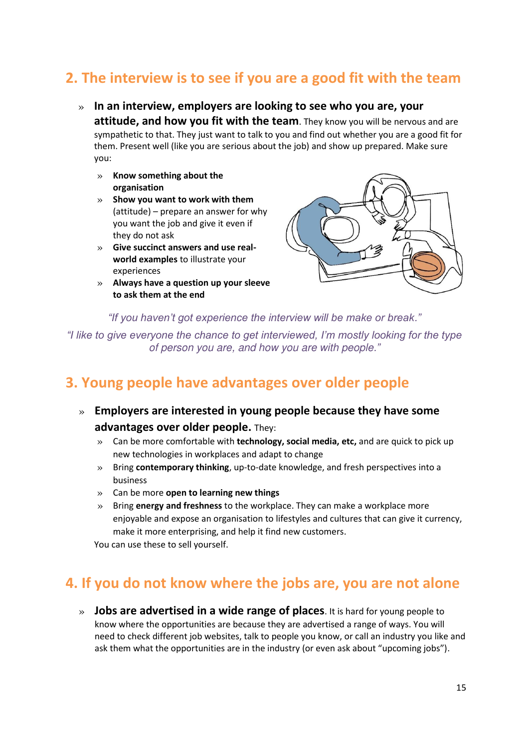## <span id="page-14-0"></span>**2. The interview is to see if you are a good fit with the team**

- » **In an interview, employers are looking to see who you are, your attitude, and how you fit with the team**. They know you will be nervous and are sympathetic to that. They just want to talk to you and find out whether you are a good fit for them. Present well (like you are serious about the job) and show up prepared. Make sure you:
	- » **Know something about the organisation**
	- » **Show you want to work with them** (attitude) – prepare an answer for why you want the job and give it even if they do not ask
	- » **Give succinct answers and use realworld examples** to illustrate your experiences
	- » **Always have a question up your sleeve to ask them at the end**



*"If you haven't got experience the interview will be make or break."*

*"I like to give everyone the chance to get interviewed, I'm mostly looking for the type of person you are, and how you are with people."*

## <span id="page-14-1"></span>**3. Young people have advantages over older people**

- » **Employers are interested in young people because they have some advantages over older people.** They:
	- » Can be more comfortable with **technology, social media, etc,** and are quick to pick up new technologies in workplaces and adapt to change
	- » Bring **contemporary thinking**, up-to-date knowledge, and fresh perspectives into a business
	- » Can be more **open to learning new things**
	- » Bring **energy and freshness** to the workplace. They can make a workplace more enjoyable and expose an organisation to lifestyles and cultures that can give it currency, make it more enterprising, and help it find new customers.

You can use these to sell yourself.

## <span id="page-14-2"></span>**4. If you do not know where the jobs are, you are not alone**

» **Jobs are advertised in a wide range of places**. It is hard for young people to know where the opportunities are because they are advertised a range of ways. You will need to check different job websites, talk to people you know, or call an industry you like and ask them what the opportunities are in the industry (or even ask about "upcoming jobs").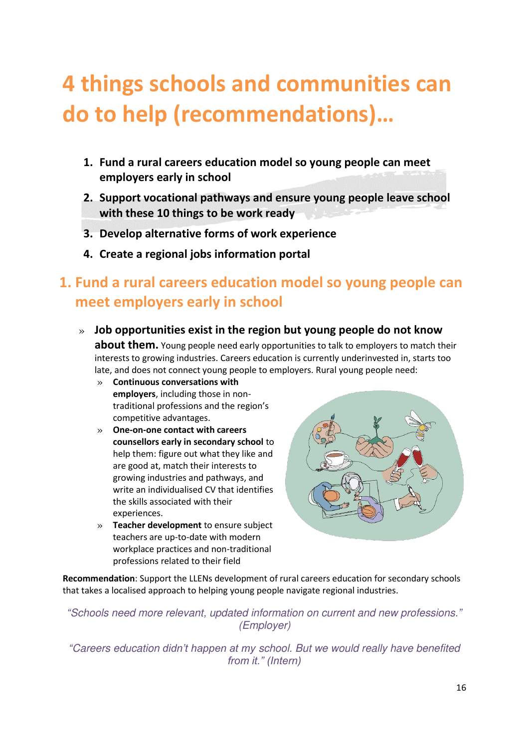## <span id="page-15-0"></span>**4 things schools and communities can do to help (recommendations)…**

- **1. Fund a rural careers education model so young people can meet employers early in school**
- **2. Support vocational pathways and ensure young people leave school with these 10 things to be work ready**
- **3. Develop alternative forms of work experience**
- **4. Create a regional jobs information portal**

## <span id="page-15-1"></span>**1. Fund a rural careers education model so young people can meet employers early in school**

- » **Job opportunities exist in the region but young people do not know about them.** Young people need early opportunities to talk to employers to match their interests to growing industries. Careers education is currently underinvested in, starts too late, and does not connect young people to employers. Rural young people need:
	- » **Continuous conversations with employers**, including those in nontraditional professions and the region's competitive advantages.
	- » **One-on-one contact with careers counsellors early in secondary school** to help them: figure out what they like and are good at, match their interests to growing industries and pathways, and write an individualised CV that identifies the skills associated with their experiences.
	- » **Teacher development** to ensure subject teachers are up-to-date with modern workplace practices and non-traditional professions related to their field



**Recommendation**: Support the LLENs development of rural careers education for secondary schools that takes a localised approach to helping young people navigate regional industries.

*"Schools need more relevant, updated information on current and new professions." (Employer)* 

*"Careers education didn't happen at my school. But we would really have benefited from it." (Intern)*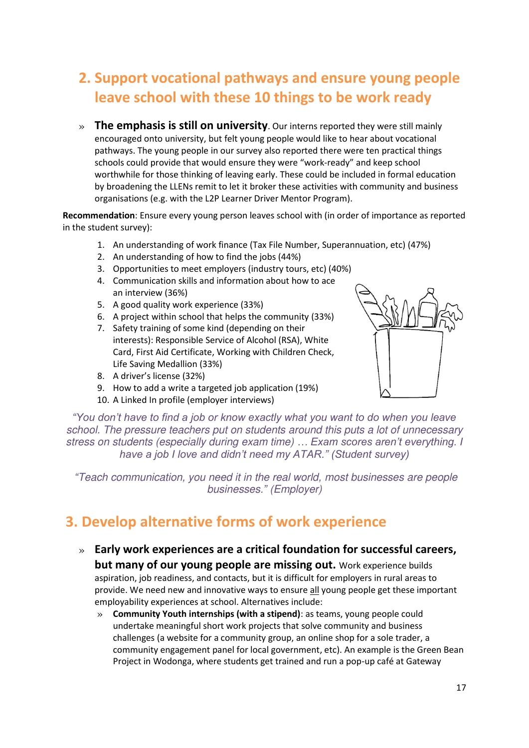## <span id="page-16-0"></span>**2. Support vocational pathways and ensure young people leave school with these 10 things to be work ready**

» **The emphasis is still on university**. Our interns reported they were still mainly encouraged onto university, but felt young people would like to hear about vocational pathways. The young people in our survey also reported there were ten practical things schools could provide that would ensure they were "work-ready" and keep school worthwhile for those thinking of leaving early. These could be included in formal education by broadening the LLENs remit to let it broker these activities with community and business organisations (e.g. with the L2P Learner Driver Mentor Program).

**Recommendation**: Ensure every young person leaves school with (in order of importance as reported in the student survey):

- 1. An understanding of work finance (Tax File Number, Superannuation, etc) (47%)
- 2. An understanding of how to find the jobs (44%)
- 3. Opportunities to meet employers (industry tours, etc) (40%)
- 4. Communication skills and information about how to ace an interview (36%)
- 5. A good quality work experience (33%)
- 6. A project within school that helps the community (33%)
- 7. Safety training of some kind (depending on their interests): Responsible Service of Alcohol (RSA), White Card, First Aid Certificate, Working with Children Check, Life Saving Medallion (33%)
- 8. A driver's license (32%)
- 9. How to add a write a targeted job application (19%)
- 10. A Linked In profile (employer interviews)



*"You don't have to find a job or know exactly what you want to do when you leave school. The pressure teachers put on students around this puts a lot of unnecessary stress on students (especially during exam time) … Exam scores aren't everything. I have a job I love and didn't need my ATAR." (Student survey)*

*"Teach communication, you need it in the real world, most businesses are people businesses." (Employer)* 

## <span id="page-16-1"></span>**3. Develop alternative forms of work experience**

- » **Early work experiences are a critical foundation for successful careers, but many of our young people are missing out.** Work experience builds aspiration, job readiness, and contacts, but it is difficult for employers in rural areas to provide. We need new and innovative ways to ensure all young people get these important employability experiences at school. Alternatives include:
	- » **Community Youth internships (with a stipend)**: as teams, young people could undertake meaningful short work projects that solve community and business challenges (a website for a community group, an online shop for a sole trader, a community engagement panel for local government, etc). An example is the Green Bean Project in Wodonga, where students get trained and run a pop-up café at Gateway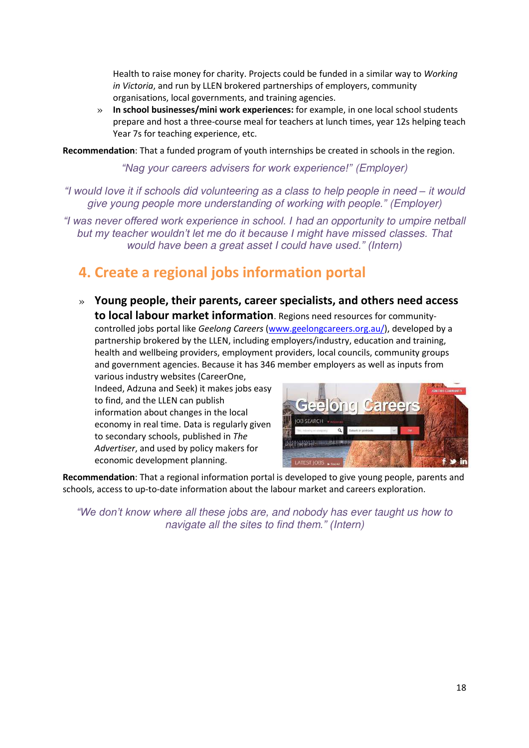Health to raise money for charity. Projects could be funded in a similar way to *Working in Victoria*, and run by LLEN brokered partnerships of employers, community organisations, local governments, and training agencies.

» **In school businesses/mini work experiences:** for example, in one local school students prepare and host a three-course meal for teachers at lunch times, year 12s helping teach Year 7s for teaching experience, etc.

**Recommendation**: That a funded program of youth internships be created in schools in the region.

*"Nag your careers advisers for work experience!" (Employer)* 

*"I would love it if schools did volunteering as a class to help people in need – it would give young people more understanding of working with people." (Employer)* 

*"I was never offered work experience in school. I had an opportunity to umpire netball but my teacher wouldn't let me do it because I might have missed classes. That would have been a great asset I could have used." (Intern)* 

## <span id="page-17-0"></span>**4. Create a regional jobs information portal**

» **Young people, their parents, career specialists, and others need access to local labour market information**. Regions need resources for communitycontrolled jobs portal like *Geelong Careers* [\(www.geelongcareers.org.au/\)](http://www.geelongcareers.org.au/), developed by a partnership brokered by the LLEN, including employers/industry, education and training, health and wellbeing providers, employment providers, local councils, community groups and government agencies. Because it has 346 member employers as well as inputs from various industry websites (CareerOne,

Indeed, Adzuna and Seek) it makes jobs easy to find, and the LLEN can publish information about changes in the local economy in real time. Data is regularly given to secondary schools, published in *The Advertiser*, and used by policy makers for economic development planning.



**Recommendation**: That a regional information portal is developed to give young people, parents and schools, access to up-to-date information about the labour market and careers exploration.

*"We don't know where all these jobs are, and nobody has ever taught us how to navigate all the sites to find them." (Intern)*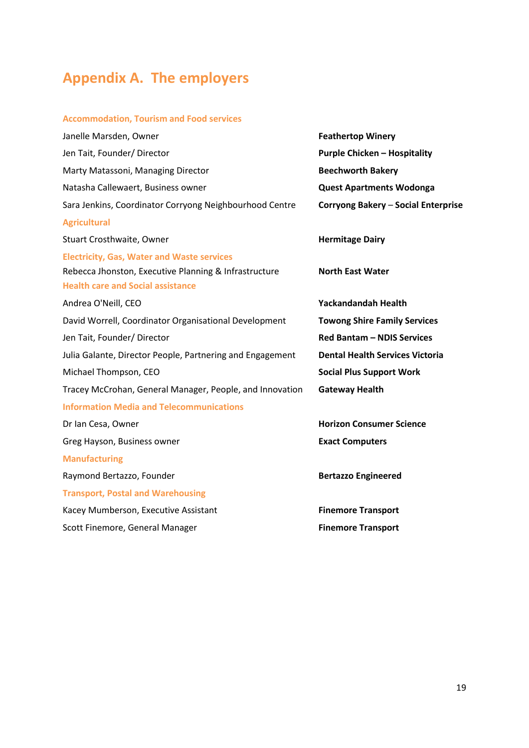## <span id="page-18-0"></span>**Appendix A. The employers**

#### **Accommodation, Tourism and Food services**

| Janelle Marsden, Owner                                    | <b>Feathertop Winery</b>               |
|-----------------------------------------------------------|----------------------------------------|
| Jen Tait, Founder/ Director                               | <b>Purple Chicken - Hospitality</b>    |
| Marty Matassoni, Managing Director                        | <b>Beechworth Bakery</b>               |
| Natasha Callewaert, Business owner                        | <b>Quest Apartments Wodonga</b>        |
| Sara Jenkins, Coordinator Corryong Neighbourhood Centre   | Corryong Bakery - Social Enterprise    |
| <b>Agricultural</b>                                       |                                        |
| Stuart Crosthwaite, Owner                                 | <b>Hermitage Dairy</b>                 |
| <b>Electricity, Gas, Water and Waste services</b>         |                                        |
| Rebecca Jhonston, Executive Planning & Infrastructure     | <b>North East Water</b>                |
| <b>Health care and Social assistance</b>                  |                                        |
| Andrea O'Neill, CEO                                       | <b>Yackandandah Health</b>             |
| David Worrell, Coordinator Organisational Development     | <b>Towong Shire Family Services</b>    |
| Jen Tait, Founder/ Director                               | <b>Red Bantam - NDIS Services</b>      |
| Julia Galante, Director People, Partnering and Engagement | <b>Dental Health Services Victoria</b> |
| Michael Thompson, CEO                                     | <b>Social Plus Support Work</b>        |
| Tracey McCrohan, General Manager, People, and Innovation  | <b>Gateway Health</b>                  |
| <b>Information Media and Telecommunications</b>           |                                        |
| Dr Ian Cesa, Owner                                        | <b>Horizon Consumer Science</b>        |
| Greg Hayson, Business owner                               | <b>Exact Computers</b>                 |
| <b>Manufacturing</b>                                      |                                        |
| Raymond Bertazzo, Founder                                 | <b>Bertazzo Engineered</b>             |
| <b>Transport, Postal and Warehousing</b>                  |                                        |
| Kacey Mumberson, Executive Assistant                      | <b>Finemore Transport</b>              |
| Scott Finemore, General Manager                           | <b>Finemore Transport</b>              |